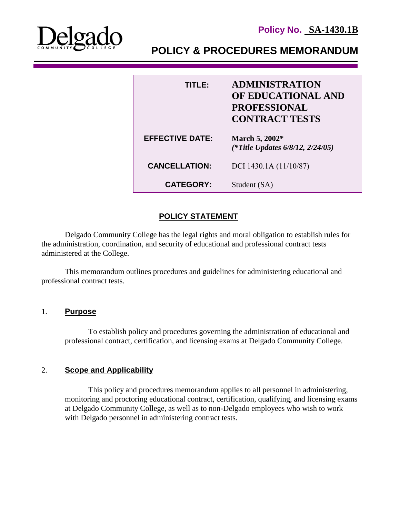



**POLICY & PROCEDURES MEMORANDUM**

| TITLE:                 | <b>ADMINISTRATION</b><br>OF EDUCATIONAL AND<br><b>PROFESSIONAL</b><br><b>CONTRACT TESTS</b> |
|------------------------|---------------------------------------------------------------------------------------------|
| <b>EFFECTIVE DATE:</b> | March 5, 2002*<br>(*Title Updates $6/8/12$ , $2/24/05$ )                                    |
| <b>CANCELLATION:</b>   | DCI 1430.1A (11/10/87)                                                                      |
| <b>CATEGORY:</b>       | Student (SA)                                                                                |

# **POLICY STATEMENT**

Delgado Community College has the legal rights and moral obligation to establish rules for the administration, coordination, and security of educational and professional contract tests administered at the College.

This memorandum outlines procedures and guidelines for administering educational and professional contract tests.

#### 1. **Purpose**

To establish policy and procedures governing the administration of educational and professional contract, certification, and licensing exams at Delgado Community College.

## 2. **Scope and Applicability**

This policy and procedures memorandum applies to all personnel in administering, monitoring and proctoring educational contract, certification, qualifying, and licensing exams at Delgado Community College, as well as to non-Delgado employees who wish to work with Delgado personnel in administering contract tests.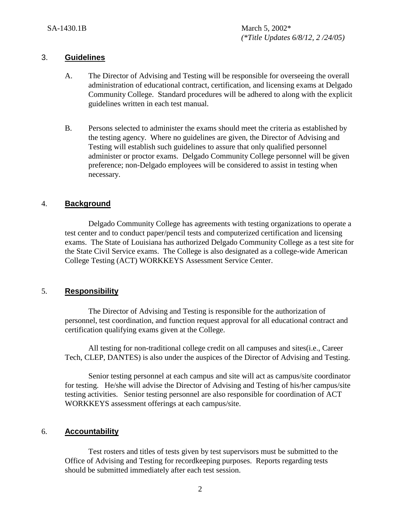#### 3. **Guidelines**

- A. The Director of Advising and Testing will be responsible for overseeing the overall administration of educational contract, certification, and licensing exams at Delgado Community College. Standard procedures will be adhered to along with the explicit guidelines written in each test manual.
- B. Persons selected to administer the exams should meet the criteria as established by the testing agency. Where no guidelines are given, the Director of Advising and Testing will establish such guidelines to assure that only qualified personnel administer or proctor exams. Delgado Community College personnel will be given preference; non-Delgado employees will be considered to assist in testing when necessary.

## 4. **Background**

Delgado Community College has agreements with testing organizations to operate a test center and to conduct paper/pencil tests and computerized certification and licensing exams. The State of Louisiana has authorized Delgado Community College as a test site for the State Civil Service exams. The College is also designated as a college-wide American College Testing (ACT) WORKKEYS Assessment Service Center.

## 5. **Responsibility**

The Director of Advising and Testing is responsible for the authorization of personnel, test coordination, and function request approval for all educational contract and certification qualifying exams given at the College.

All testing for non-traditional college credit on all campuses and sites(i.e., Career Tech, CLEP, DANTES) is also under the auspices of the Director of Advising and Testing.

Senior testing personnel at each campus and site will act as campus/site coordinator for testing. He/she will advise the Director of Advising and Testing of his/her campus/site testing activities. Senior testing personnel are also responsible for coordination of ACT WORKKEYS assessment offerings at each campus/site.

#### 6. **Accountability**

Test rosters and titles of tests given by test supervisors must be submitted to the Office of Advising and Testing for recordkeeping purposes. Reports regarding tests should be submitted immediately after each test session.